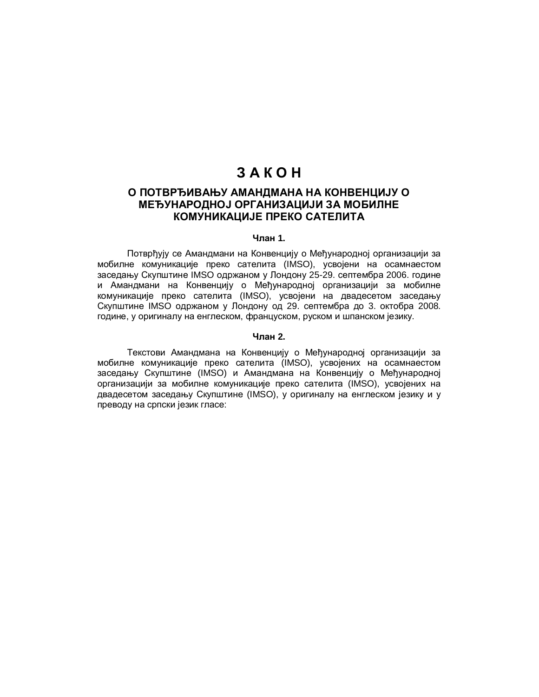# **3AKOH**

# **ɈɉɈɌȼɊȭɂȼȺȵɍȺɆȺɇȾɆȺɇȺɇȺɄɈɇȼȿɇɐɂȳɍɈ** МЕЂУНАРОДНОЈ ОРГАНИЗАЦИЈИ ЗА МОБИЛНЕ КОМУНИКАЦИЈЕ ПРЕКО САТЕЛИТА

# **Члан 1.**

Потврђују се Амандмани на Конвенцију о Међународној организацији за мобилне комуникације преко сателита (IMSO), усвојени на осамнаестом заседању Скупштине IMSO одржаном у Лондону 25-29. септембра 2006. године и Амандмани на Конвенцију о Међународној организацији за мобилне комуникације преко сателита (IMSO), усвојени на двадесетом заседању Скупштине IMSO одржаном у Лондону од 29. септембра до 3. октобра 2008. године, у оригиналу на енглеском, француском, руском и шпанском језику.

#### **Члан 2.**

Текстови Амандмана на Конвенцију о Међународној организацији за мобилне комуникације преко сателита (IMSO), усвојених на осамнаестом заседању Скупштине (IMSO) и Амандмана на Конвенцију о Међународној организацији за мобилне комуникације преко сателита (IMSO), усвојених на двадесетом заседању Скупштине (IMSO), у оригиналу на енглеском језику и у преводу на српски језик гласе: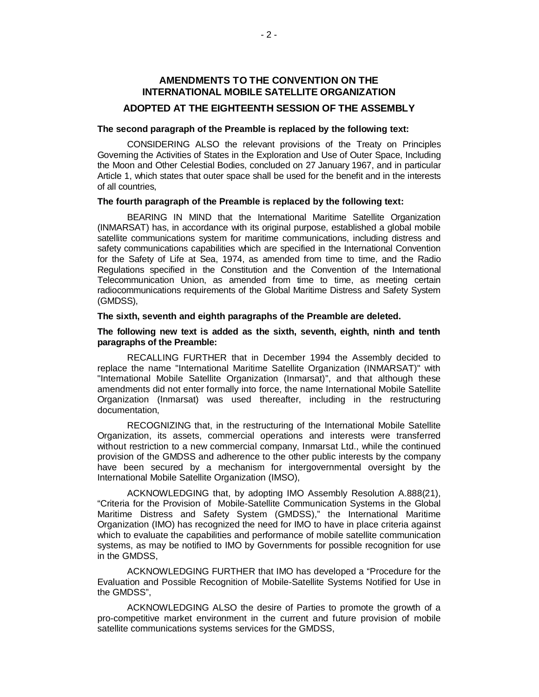# **AMENDMENTS TO THE CONVENTION ON THE INTERNATIONAL MOBILE SATELLITE ORGANIZATION**

# **ADOPTED AT THE EIGHTEENTH SESSION OF THE ASSEMBLY**

#### **The second paragraph of the Preamble is replaced by the following text:**

CONSIDERING ALSO the relevant provisions of the Treaty on Principles Governing the Activities of States in the Exploration and Use of Outer Space, Including the Moon and Other Celestial Bodies, concluded on 27 January 1967, and in particular Article 1, which states that outer space shall be used for the benefit and in the interests of all countries,

## **The fourth paragraph of the Preamble is replaced by the following text:**

BEARING IN MIND that the International Maritime Satellite Organization (INMARSAT) has, in accordance with its original purpose, established a global mobile satellite communications system for maritime communications, including distress and safety communications capabilities which are specified in the International Convention for the Safety of Life at Sea, 1974, as amended from time to time, and the Radio Regulations specified in the Constitution and the Convention of the International Telecommunication Union, as amended from time to time, as meeting certain radiocommunications requirements of the Global Maritime Distress and Safety System (GMDSS),

#### **The sixth, seventh and eighth paragraphs of the Preamble are deleted.**

#### **The following new text is added as the sixth, seventh, eighth, ninth and tenth paragraphs of the Preamble:**

RECALLING FURTHER that in December 1994 the Assembly decided to replace the name "International Maritime Satellite Organization (INMARSAT)" with "International Mobile Satellite Organization (Inmarsat)", and that although these amendments did not enter formally into force, the name International Mobile Satellite Organization (Inmarsat) was used thereafter, including in the restructuring documentation,

RECOGNIZING that, in the restructuring of the International Mobile Satellite Organization, its assets, commercial operations and interests were transferred without restriction to a new commercial company, Inmarsat Ltd., while the continued provision of the GMDSS and adherence to the other public interests by the company have been secured by a mechanism for intergovernmental oversight by the International Mobile Satellite Organization (IMSO),

ACKNOWLEDGING that, by adopting IMO Assembly Resolution A.888(21), "Criteria for the Provision of Mobile-Satellite Communication Systems in the Global Maritime Distress and Safety System (GMDSS)," the International Maritime Organization (IMO) has recognized the need for IMO to have in place criteria against which to evaluate the capabilities and performance of mobile satellite communication systems, as may be notified to IMO by Governments for possible recognition for use in the GMDSS,

ACKNOWLEDGING FURTHER that IMO has developed a "Procedure for the Evaluation and Possible Recognition of Mobile-Satellite Systems Notified for Use in the GMDSS",

ACKNOWLEDGING ALSO the desire of Parties to promote the growth of a pro-competitive market environment in the current and future provision of mobile satellite communications systems services for the GMDSS,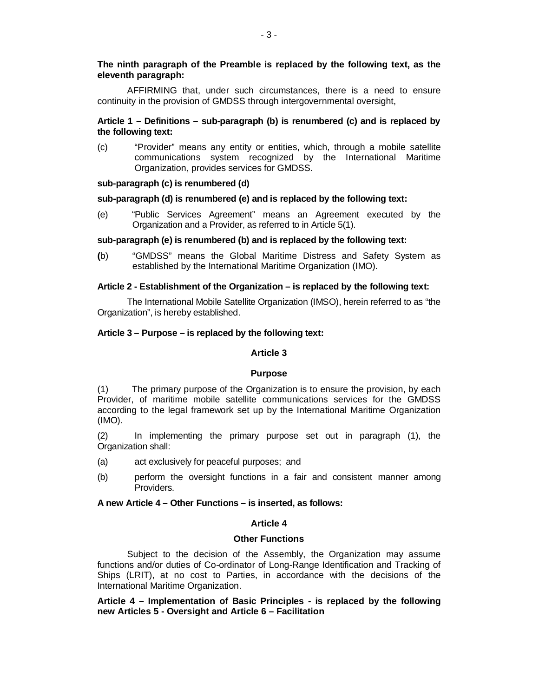# **The ninth paragraph of the Preamble is replaced by the following text, as the eleventh paragraph:**

AFFIRMING that, under such circumstances, there is a need to ensure continuity in the provision of GMDSS through intergovernmental oversight,

# **Article 1 – Definitions – sub-paragraph (b) is renumbered (c) and is replaced by the following text:**

(c) "Provider" means any entity or entities, which, through a mobile satellite communications system recognized by the International Maritime Organization, provides services for GMDSS.

# **sub-paragraph (c) is renumbered (d)**

## **sub-paragraph (d) is renumbered (e) and is replaced by the following text:**

(e) "Public Services Agreement" means an Agreement executed by the Organization and a Provider, as referred to in Article 5(1).

## **sub-paragraph (e) is renumbered (b) and is replaced by the following text:**

**(**b) "GMDSS" means the Global Maritime Distress and Safety System as established by the International Maritime Organization (IMO).

#### **Article 2 - Establishment of the Organization – is replaced by the following text:**

The International Mobile Satellite Organization (IMSO), herein referred to as "the Organization", is hereby established.

## **Article 3 – Purpose – is replaced by the following text:**

## **Article 3**

#### **Purpose**

(1) The primary purpose of the Organization is to ensure the provision, by each Provider, of maritime mobile satellite communications services for the GMDSS according to the legal framework set up by the International Maritime Organization (IMO).

(2) In implementing the primary purpose set out in paragraph (1), the Organization shall:

- (a) act exclusively for peaceful purposes; and
- (b) perform the oversight functions in a fair and consistent manner among Providers.

# **A new Article 4 – Other Functions – is inserted, as follows:**

# **Article 4**

# **Other Functions**

Subject to the decision of the Assembly, the Organization may assume functions and/or duties of Co-ordinator of Long-Range Identification and Tracking of Ships (LRIT), at no cost to Parties, in accordance with the decisions of the International Maritime Organization.

**Article 4 – Implementation of Basic Principles - is replaced by the following new Articles 5 - Oversight and Article 6 – Facilitation**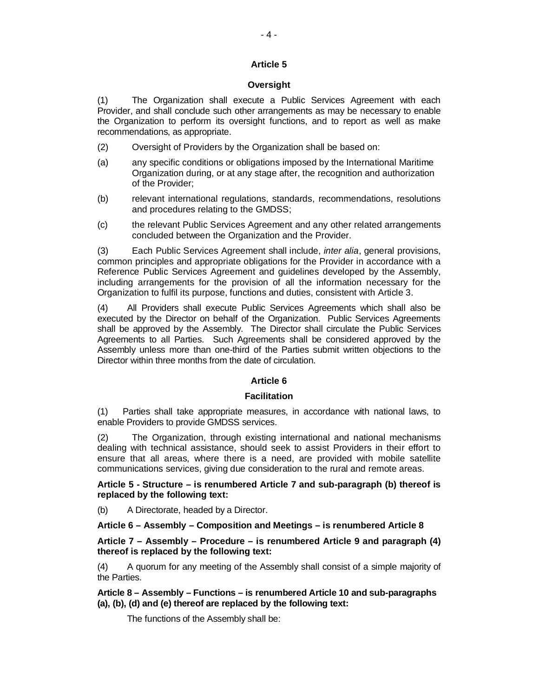# **Article 5**

# **Oversight**

(1) The Organization shall execute a Public Services Agreement with each Provider, and shall conclude such other arrangements as may be necessary to enable the Organization to perform its oversight functions, and to report as well as make recommendations, as appropriate.

- (2) Oversight of Providers by the Organization shall be based on:
- (a) any specific conditions or obligations imposed by the International Maritime Organization during, or at any stage after, the recognition and authorization of the Provider;
- (b) relevant international regulations, standards, recommendations, resolutions and procedures relating to the GMDSS;
- (c) the relevant Public Services Agreement and any other related arrangements concluded between the Organization and the Provider.

(3) Each Public Services Agreement shall include, *inter alia*, general provisions, common principles and appropriate obligations for the Provider in accordance with a Reference Public Services Agreement and guidelines developed by the Assembly, including arrangements for the provision of all the information necessary for the Organization to fulfil its purpose, functions and duties, consistent with Article 3.

(4) All Providers shall execute Public Services Agreements which shall also be executed by the Director on behalf of the Organization. Public Services Agreements shall be approved by the Assembly. The Director shall circulate the Public Services Agreements to all Parties. Such Agreements shall be considered approved by the Assembly unless more than one-third of the Parties submit written objections to the Director within three months from the date of circulation.

# **Article 6**

# **Facilitation**

(1) Parties shall take appropriate measures, in accordance with national laws, to enable Providers to provide GMDSS services.

(2) The Organization, through existing international and national mechanisms dealing with technical assistance, should seek to assist Providers in their effort to ensure that all areas, where there is a need, are provided with mobile satellite communications services, giving due consideration to the rural and remote areas.

**Article 5 - Structure – is renumbered Article 7 and sub-paragraph (b) thereof is replaced by the following text:**

(b) A Directorate, headed by a Director.

# **Article 6 – Assembly – Composition and Meetings – is renumbered Article 8**

**Article 7 – Assembly – Procedure – is renumbered Article 9 and paragraph (4) thereof is replaced by the following text:**

(4) A quorum for any meeting of the Assembly shall consist of a simple majority of the Parties.

**Article 8 – Assembly – Functions – is renumbered Article 10 and sub-paragraphs (a), (b), (d) and (e) thereof are replaced by the following text:**

The functions of the Assembly shall be: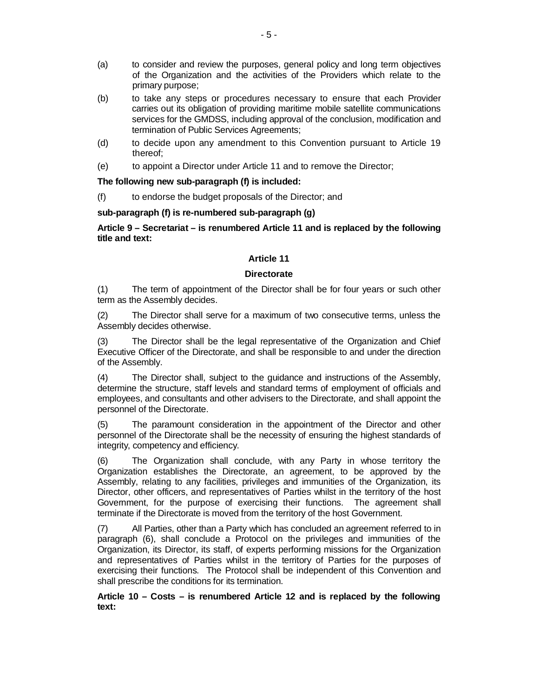- (a) to consider and review the purposes, general policy and long term objectives of the Organization and the activities of the Providers which relate to the primary purpose;
- (b) to take any steps or procedures necessary to ensure that each Provider carries out its obligation of providing maritime mobile satellite communications services for the GMDSS, including approval of the conclusion, modification and termination of Public Services Agreements;
- (d) to decide upon any amendment to this Convention pursuant to Article 19 thereof;
- (e) to appoint a Director under Article 11 and to remove the Director;

# **The following new sub-paragraph (f) is included:**

(f) to endorse the budget proposals of the Director; and

# **sub-paragraph (f) is re-numbered sub-paragraph (g)**

# **Article 9 – Secretariat – is renumbered Article 11 and is replaced by the following title and text:**

# **Article 11**

# **Directorate**

(1) The term of appointment of the Director shall be for four years or such other term as the Assembly decides.

(2) The Director shall serve for a maximum of two consecutive terms, unless the Assembly decides otherwise.

(3) The Director shall be the legal representative of the Organization and Chief Executive Officer of the Directorate, and shall be responsible to and under the direction of the Assembly.

(4) The Director shall, subject to the guidance and instructions of the Assembly, determine the structure, staff levels and standard terms of employment of officials and employees, and consultants and other advisers to the Directorate, and shall appoint the personnel of the Directorate.

The paramount consideration in the appointment of the Director and other personnel of the Directorate shall be the necessity of ensuring the highest standards of integrity, competency and efficiency.

(6) The Organization shall conclude, with any Party in whose territory the Organization establishes the Directorate, an agreement, to be approved by the Assembly, relating to any facilities, privileges and immunities of the Organization, its Director, other officers, and representatives of Parties whilst in the territory of the host Government, for the purpose of exercising their functions. The agreement shall terminate if the Directorate is moved from the territory of the host Government.

(7) All Parties, other than a Party which has concluded an agreement referred to in paragraph (6), shall conclude a Protocol on the privileges and immunities of the Organization, its Director, its staff, of experts performing missions for the Organization and representatives of Parties whilst in the territory of Parties for the purposes of exercising their functions. The Protocol shall be independent of this Convention and shall prescribe the conditions for its termination.

**Article 10 – Costs – is renumbered Article 12 and is replaced by the following text:**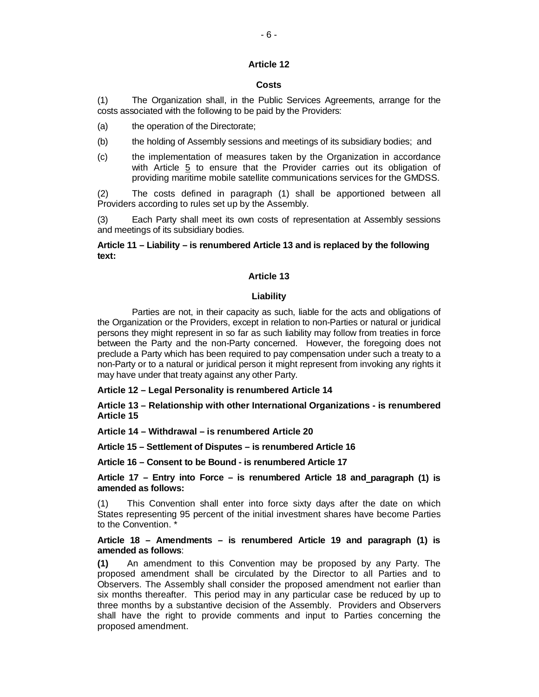# **Article 12**

## **Costs**

(1) The Organization shall, in the Public Services Agreements, arrange for the costs associated with the following to be paid by the Providers:

(a) the operation of the Directorate;

- (b) the holding of Assembly sessions and meetings of its subsidiary bodies; and
- (c) the implementation of measures taken by the Organization in accordance with Article  $5$  to ensure that the Provider carries out its obligation of providing maritime mobile satellite communications services for the GMDSS.

(2) The costs defined in paragraph (1) shall be apportioned between all Providers according to rules set up by the Assembly.

(3) Each Party shall meet its own costs of representation at Assembly sessions and meetings of its subsidiary bodies.

# **Article 11 – Liability – is renumbered Article 13 and is replaced by the following text:**

## **Article 13**

## **Liability**

Parties are not, in their capacity as such, liable for the acts and obligations of the Organization or the Providers, except in relation to non-Parties or natural or juridical persons they might represent in so far as such liability may follow from treaties in force between the Party and the non-Party concerned. However, the foregoing does not preclude a Party which has been required to pay compensation under such a treaty to a non-Party or to a natural or juridical person it might represent from invoking any rights it may have under that treaty against any other Party.

**Article 12 – Legal Personality is renumbered Article 14**

**Article 13 – Relationship with other International Organizations - is renumbered Article 15**

**Article 14 – Withdrawal – is renumbered Article 20**

**Article 15 – Settlement of Disputes – is renumbered Article 16**

**Article 16 – Consent to be Bound - is renumbered Article 17**

**Article 17 – Entry into Force – is renumbered Article 18 and paragraph (1) is amended as follows:**

(1) This Convention shall enter into force sixty days after the date on which States representing 95 percent of the initial investment shares have become Parties to the Convention. \*

# **Article 18 – Amendments – is renumbered Article 19 and paragraph (1) is amended as follows**:

**(1)** An amendment to this Convention may be proposed by any Party. The proposed amendment shall be circulated by the Director to all Parties and to Observers. The Assembly shall consider the proposed amendment not earlier than six months thereafter. This period may in any particular case be reduced by up to three months by a substantive decision of the Assembly. Providers and Observers shall have the right to provide comments and input to Parties concerning the proposed amendment.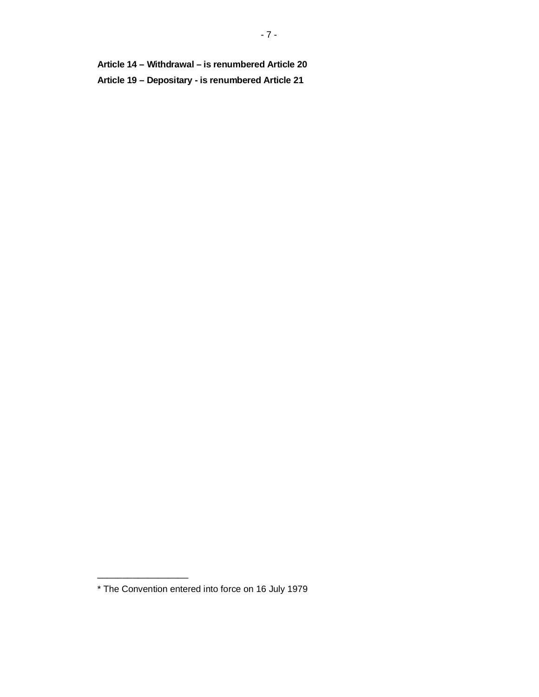**Article 14 – Withdrawal – is renumbered Article 20 Article 19 – Depositary - is renumbered Article 21**

\_\_\_\_\_\_\_\_\_\_\_\_\_\_\_\_\_\_

<sup>\*</sup> The Convention entered into force on 16 July 1979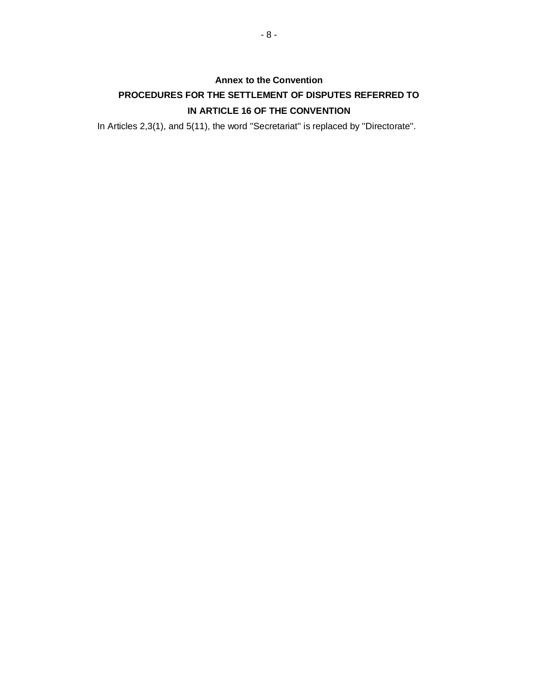# **Annex to the Convention PROCEDURES FOR THE SETTLEMENT OF DISPUTES REFERRED TO IN ARTICLE 16 OF THE CONVENTION**

In Articles 2,3(1), and 5(11), the word ''Secretariat'' is replaced by ''Directorate''.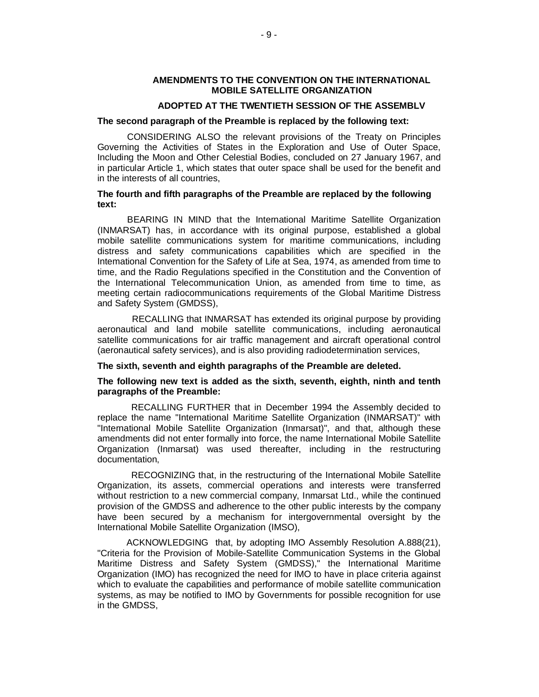## **AMENDMENTS TO THE CONVENTION ON THE INTERNATIONAL MOBILE SATELLITE ORGANIZATION**

# **ADOPTED AT THE TWENTIETH SESSION OF THE ASSEMBLV**

#### **The second paragraph of the Preamble is replaced by the following text:**

CONSIDERING ALSO the relevant provisions of the Treaty on Principles Governing the Activities of States in the Exploration and Use of Outer Space, Including the Moon and Other Celestial Bodies, concluded on 27 January 1967, and in particular Article 1, which states that outer space shall be used for the benefit and in the interests of all countries,

## **The fourth and fifth paragraphs of the Preamble are replaced by the following text:**

BEARING IN MIND that the International Maritime Satellite Organization (INMARSAT) has, in accordance with its original purpose, established a global mobile satellite communications system for maritime communications, including distress and safety communications capabilities which are specified in the Intemational Convention for the Safety of Life at Sea, 1974, as amended from time to time, and the Radio Regulations specified in the Constitution and the Convention of the International Telecommunication Union, as amended from time to time, as meeting certain radiocommunications requirements of the Global Maritime Distress and Safety System (GMDSS),

RECALLING that INMARSAT has extended its original purpose by providing aeronautical and land mobile satellite communications, including aeronautical satellite communications for air traffic management and aircraft operational control (aeronautical safety services), and is also providing radiodetermination services,

#### **The sixth, seventh and eighth paragraphs of the Preamble are deleted.**

## **The following new text is added as the sixth, seventh, eighth, ninth and tenth paragraphs of the Preamble:**

RECALLING FURTHER that in December 1994 the Assembly decided to replace the name "International Maritime Satellite Organization (INMARSAT)" with "International Mobile Satellite Organization (Inmarsat)", and that, although these amendments did not enter formally into force, the name International Mobile Satellite Organization (Inmarsat) was used thereafter, including in the restructuring documentation,

RECOGNIZING that, in the restructuring of the International Mobile Satellite Organization, its assets, commercial operations and interests were transferred without restriction to a new commercial company, Inmarsat Ltd., while the continued provision of the GMDSS and adherence to the other public interests by the company have been secured by a mechanism for intergovernmental oversight by the International Mobile Satellite Organization (IMSO),

ACKNOWLEDGING that, by adopting IMO Assembly Resolution A.888(21), "Criteria for the Provision of Mobile-Satellite Communication Systems in the Global Maritime Distress and Safety System (GMDSS)," the International Maritime Organization (IMO) has recognized the need for IMO to have in place criteria against which to evaluate the capabilities and performance of mobile satellite communication systems, as may be notified to IMO by Governments for possible recognition for use in the GMDSS,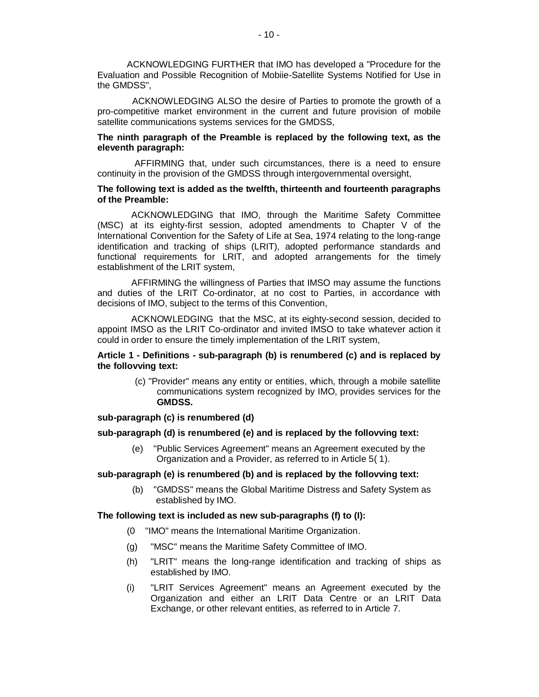ACKNOWLEDGING FURTHER that IMO has developed a "Procedure for the Evaluation and Possible Recognition of Mobiie-Satellite Systems Notified for Use in the GMDSS",

ACKNOWLEDGING ALSO the desire of Parties to promote the growth of a pro-competitive market environment in the current and future provision of mobile satellite communications systems services for the GMDSS,

## **The ninth paragraph of the Preamble is replaced by the following text, as the eleventh paragraph:**

AFFIRMING that, under such circumstances, there is a need to ensure continuity in the provision of the GMDSS through intergovernmental oversight,

## **The following text is added as the twelfth, thirteenth and fourteenth paragraphs of the Preamble:**

ACKNOWLEDGING that IMO, through the Maritime Safety Committee (MSC) at its eighty-first session, adopted amendments to Chapter V of the International Convention for the Safety of Life at Sea, 1974 relating to the long-range identification and tracking of ships (LRIT), adopted performance standards and functional requirements for LRIT, and adopted arrangements for the timely establishment of the LRIT system,

AFFIRMING the willingness of Parties that IMSO may assume the functions and duties of the LRIT Co-ordinator, at no cost to Parties, in accordance with decisions of IMO, subject to the terms of this Convention,

ACKNOWLEDGING that the MSC, at its eighty-second session, decided to appoint IMSO as the LRIT Co-ordinator and invited IMSO to take whatever action it could in order to ensure the timely implementation of the LRIT system,

# **Article 1 - Definitions - sub-paragraph (b) is renumbered (c) and is replaced by the follovving text:**

(c) "Provider" means any entity or entities, which, through a mobile satellite communications system recognized by IMO, provides services for the **GMDSS.**

## **sub-paragraph (c) is renumbered (d)**

#### **sub-paragraph (d) is renumbered (e) and is replaced by the follovving text:**

(e) "Public Services Agreement" means an Agreement executed by the Organization and a Provider, as referred to in Article 5( 1).

## **sub-paragraph (e) is renumbered (b) and is replaced by the follovving text:**

(b) "GMDSS" means the Global Maritime Distress and Safety System as established by IMO.

#### **Ɍhe following text is included as new sub-paragraphs (f) to (I):**

- (0 "IMO" means the International Maritime Organization.
- (g) "MSC" means the Maritime Safety Committee of IMO.
- (h) "LRIT" means the long-range identification and tracking of ships as established by IMO.
- (i) "LRIT Services Agreement" means an Agreement executed by the Organization and either an LRIT Data Centre or an LRIT Data Exchange, or other relevant entities, as referred to in Article 7.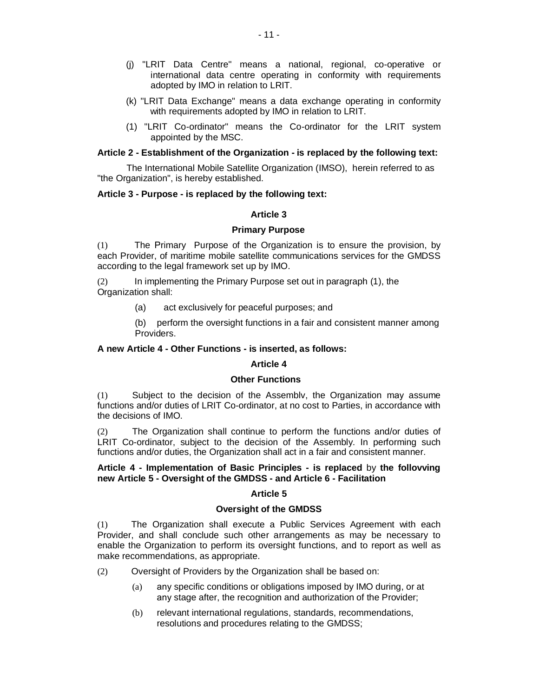- (j) "LRIT Data Centre" means a national, regional, co-operative or international data centre operating in conformity with requirements adopted by IMO in relation to LRIT.
- (k) "LRIT Data Exchange" means a data exchange operating in conformity with requirements adopted by IMO in relation to LRIT.
- (1) "LRIT Co-ordinator" means the Co-ordinator for the LRIT system appointed by the MSC.

## **Article 2 - Establishment of the Organization - is replaced by the following text:**

The International Mobile Satellite Organization (IMSO), herein referred to as "the Organization", is hereby established.

## **Article 3 - Purpose - is replaced by the following text:**

#### **Article 3**

#### **Primary Purpose**

(1) The Primary Purpose of the Organization is to ensure the provision, by each Provider, of maritime mobile satellite communications services for the GMDSS according to the legal framework set up by IMO.

(2) In implementing the Primary Purpose set out in paragraph (1), the Organization shall:

(a) act exclusively for peaceful purposes; and

(b) perform the oversight functions in a fair and consistent manner among Providers.

## **A new Article 4 - Other Functions - is inserted, as follows:**

# **Article 4**

#### **Other Functions**

(1) Subject to the decision of the Assembly, the Organization may assume functions and/or duties of LRIT Co-ordinator, at no cost to Parties, in accordance with the decisions of IMO.

(2) The Organization shall continue to perform the functions and/or duties of LRIT Co-ordinator, subject to the decision of the Assembly. In performing such functions and/or duties, the Organization shall act in a fair and consistent manner.

# **Article 4 - Implementation of Basic Principles - is replaced** by **the follovving new Article 5 - Oversight of the GMDSS - and Article 6 - Facilitation**

#### **Article 5**

#### **Oversight of the GMDSS**

(1) The Organization shall execute a Public Services Agreement with each Provider, and shall conclude such other arrangements as may be necessary to enable the Organization to perform its oversight functions, and to report as well as make recommendations, as appropriate.

- (2) Oversight of Providers by the Organization shall be based on:
	- (a) any specific conditions or obligations imposed by IMO during, or at any stage after, the recognition and authorization of the Provider;
	- (b) relevant international regulations, standards, recommendations, resolutions and procedures relating to the GMDSS;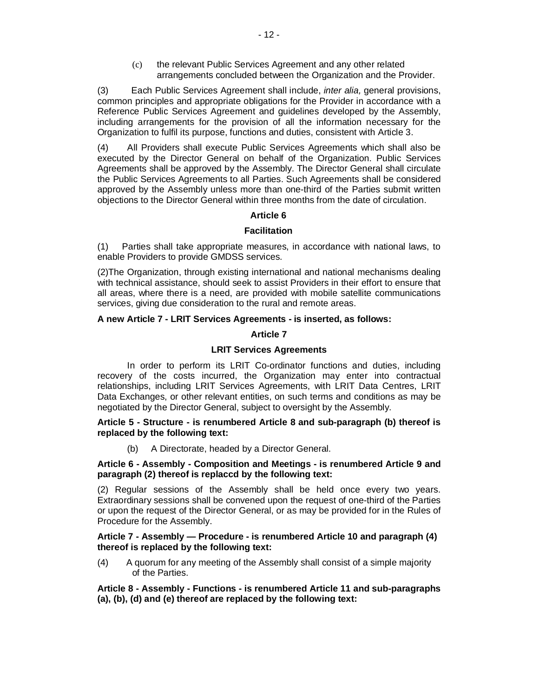(c) the relevant Public Services Agreement and any other related arrangements concluded between the Organization and the Provider.

(3) Each Public Services Agreement shall include, *inter alia,* general provisions, common principles and appropriate obligations for the Provider in accordance with a Reference Public Services Agreement and guidelines developed by the Assembly, including arrangements for the provision of all the information necessary for the Organization to fulfil its purpose, functions and duties, consistent with Article 3.

(4) All Providers shall execute Public Services Agreements which shall also be executed by the Director General on behalf of the Organization. Public Services Agreements shall be approved by the Assembly. The Director General shall circulate the Public Services Agreements to all Parties. Such Agreements shall be considered approved by the Assembly unless more than one-third of the Parties submit written objections to the Director General within three months from the date of circulation.

# **Article 6**

# **Facilitation**

(1) Parties shall take appropriate measures, in accordance with national laws, to enable Providers to provide GMDSS services.

(2)The Organization, through existing international and national mechanisms dealing with technical assistance, should seek to assist Providers in their effort to ensure that all areas, where there is a need, are provided with mobile satellite communications services, giving due consideration to the rural and remote areas.

# **A new Article 7 - LRIT Services Agreements - is inserted, as follows:**

# **Article 7**

# **LRIT Services Agreements**

In order to perform its LRIT Co-ordinator functions and duties, including recovery of the costs incurred, the Organization may enter into contractual relationships, including LRIT Services Agreements, with LRIT Data Centres, LRIT Data Exchanges, or other relevant entities, on such terms and conditions as may be negotiated by the Director General, subject to oversight by the Assembly.

# **Article 5 - Structure - is renumbered Article 8 and sub-paragraph (b) thereof is replaced by the following text:**

(b) A Directorate, headed by a Director General.

# **Article 6 - Assembly - Composition and Meetings - is renumbered Article 9 and paragraph (2) thereof is replaccd by the following text:**

(2) Regular sessions of the Assembly shall be held once every two years. Extraordinary sessions shall be convened upon the request of one-third of the Parties or upon the request of the Director General, or as may be provided for in the Rules of Procedure for the Assembly.

# **Article 7 - Assembly — Procedure - is renumbered Article 10 and paragraph (4) thereof is replaced by the following text:**

(4) A quorum for any meeting of the Assembly shall consist of a simple majority of the Parties.

**Article 8 - Assembly - Functions - is renumbered Article 11 and sub-paragraphs (a), (b), (d) and (e) thereof are replaced by the following text:**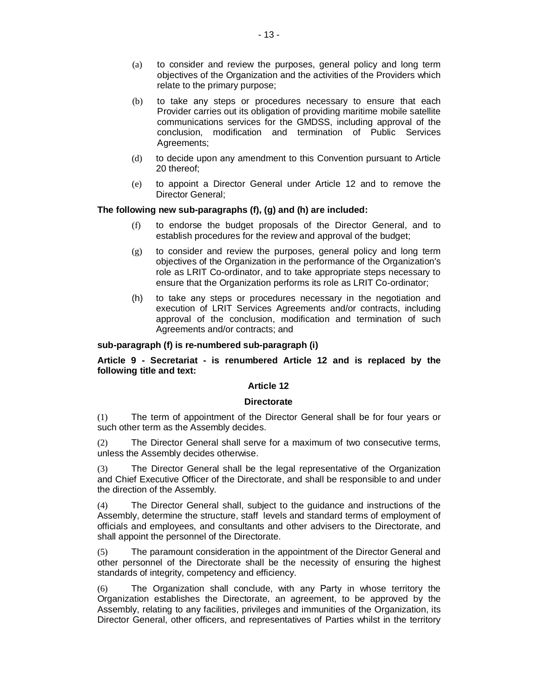- (a) to consider and review the purposes, general policy and long term objectives of the Organization and the activities of the Providers which relate to the primary purpose;
- $(b)$  to take any steps or procedures necessary to ensure that each Provider carries out its obligation of providing maritime mobile satellite communications services for the GMDSS, including approval of the conclusion, modification and termination of Public Services Agreements;
- (d) to decide upon any amendment to this Convention pursuant to Article 20 thereof;
- (e) to appoint a Director General under Article 12 and to remove the Director General;

# **The following new sub-paragraphs (f), (g) and (h) are included:**

- (f) to endorse the budget proposals of the Director General, and to establish procedures for the review and approval of the budget;
- (g) to consider and review the purposes, general policy and long term objectives of the Organization in the performance of the Organization's role as LRIT Co-ordinator, and to take appropriate steps necessary to ensure that the Organization performs its role as LRIT Co-ordinator;
- (h) to take any steps or procedures necessary in the negotiation and execution of LRIT Services Agreements and/or contracts, including approval of the conclusion, modification and termination of such Agreements and/or contracts; and

# **sub-paragraph (f) is re-numbered sub-paragraph (i)**

# **Article 9 - Secretariat - is renumbered Article 12 and is replaced by the following title and text:**

# **Article 12**

# **Directorate**

(1) The term of appointment of the Director General shall be for four years or such other term as the Assembly decides.

(2) The Director General shall serve for a maximum of two consecutive terms, unless the Assembly decides otherwise.

(3) The Director General shall be the legal representative of the Organization and Chief Executive Officer of the Directorate, and shall be responsible to and under the direction of the Assembly.

(4) The Director General shall, subject to the guidance and instructions of the Assembly, determine the structure, staff levels and standard terms of employment of officials and employees, and consultants and other advisers to the Directorate, and shall appoint the personnel of the Directorate.

(5) The paramount consideration in the appointment of the Director General and other personnel of the Directorate shall be the necessity of ensuring the highest standards of integrity, competency and efficiency.

 $(6)$  The Organization shall conclude, with any Party in whose territory the Organization establishes the Directorate, an agreement, to be approved by the Assembly, relating to any facilities, privileges and immunities of the Organization, its Director General, other officers, and representatives of Parties whilst in the territory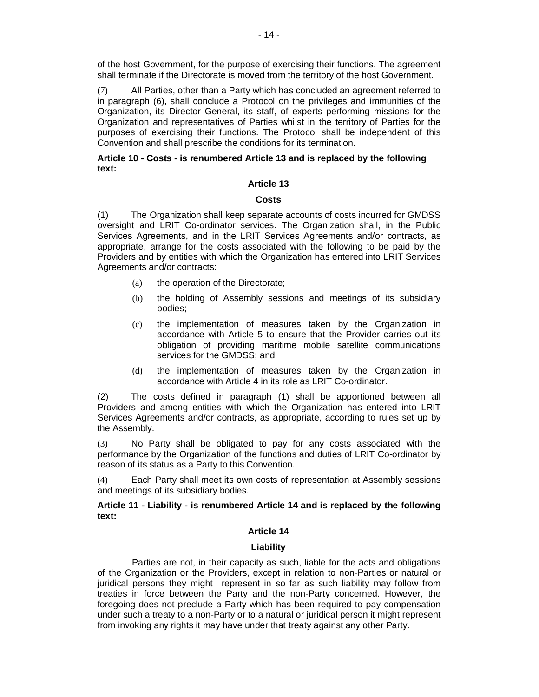of the host Government, for the purpose of exercising their functions. The agreement shall terminate if the Directorate is moved from the territory of the host Government.

(7) All Parties, other than a Party which has concluded an agreement referred to in paragraph (6), shall conclude a Protocol on the privileges and immunities of the Organization, its Director General, its staff, of experts performing missions for the Organization and representatives of Parties whilst in the territory of Parties for the purposes of exercising their functions. The Protocol shall be independent of this Convention and shall prescribe the conditions for its termination.

# **Article 10 - Costs - is renumbered Article 13 and is replaced by the following text:**

# **Article 13**

# **Costs**

(1) The Organization shall keep separate accounts of costs incurred for GMDSS oversight and LRIT Co-ordinator services. The Organization shall, in the Public Services Agreements, and in the LRIT Services Agreements and/or contracts, as appropriate, arrange for the costs associated with the following to be paid by the Providers and by entities with which the Organization has entered into LRIT Services Agreements and/or contracts:

- (a) the operation of the Directorate;
- (b) the holding of Assembly sessions and meetings of its subsidiary bodies;
- (c) the implementation of measures taken by the Organization in accordance with Article 5 to ensure that the Provider carries out its obligation of providing maritime mobile satellite communications services for the GMDSS; and
- (d) the implementation of measures taken by the Organization in accordance with Article 4 in its role as LRIT Co-ordinator.

(2) The costs defined in paragraph (1) shall be apportioned between all Providers and among entities with which the Organization has entered into LRIT Services Agreements and/or contracts, as appropriate, according to rules set up by the Assembly.

 $(3)$  No Party shall be obligated to pay for any costs associated with the performance by the Organization of the functions and duties of LRIT Co-ordinator by reason of its status as a Party to this Convention.

(4) Each Party shall meet its own costs of representation at Assembly sessions and meetings of its subsidiary bodies.

# **Article 11 - Liability - is renumbered Article 14 and is replaced by the following text:**

# **Article 14**

# **Liability**

Parties are not, in their capacity as such, liable for the acts and obligations of the Organization or the Providers, except in relation to non-Parties or natural or juridical persons they might represent in so far as such liability may follow from treaties in force between the Party and the non-Party concerned. However, the foregoing does not preclude a Party which has been required to pay compensation under such a treaty to a non-Party or to a natural or juridical person it might represent from invoking any rights it may have under that treaty against any other Party.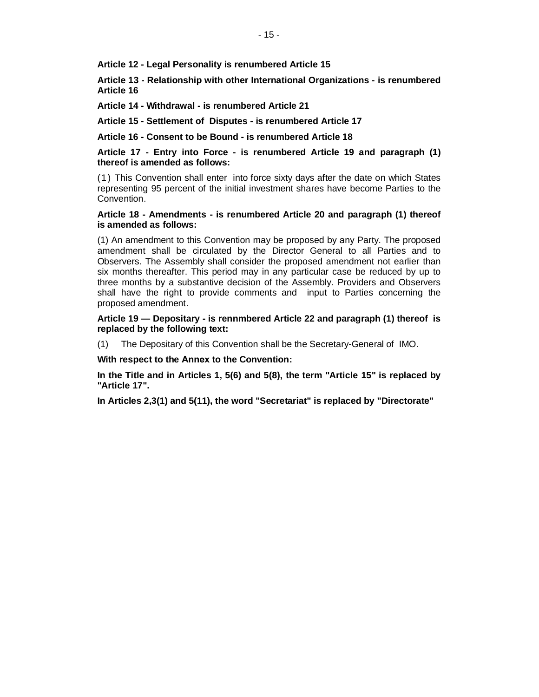**Article 12 - Legal Personality is renumbered Article 15**

**Article 13 - Relationship with other International Organizations - is renumbered Article 16**

**Article 14 - Withdrawal - is renumbered Article 21**

**Article 15 - Settlement of Disputes - is renumbered Article 17**

**Article 16 - Consent to be Bound - is renumbered Article 18**

**Article 17 - Entry into Force - is renumbered Article 19 and paragraph (1) thereof is amended as follows:**

(1) This Convention shall enter into force sixty days after the date on which States representing 95 percent of the initial investment shares have become Parties to the Convention.

## **Article 18 - Amendments - is renumbered Article 20 and paragraph (1) thereof is amended as follows:**

(1) An amendment to this Convention may be proposed by any Party. The proposed amendment shall be circulated by the Director General to all Parties and to Observers. The Assembly shall consider the proposed amendment not earlier than six months thereafter. This period may in any particular case be reduced by up to three months by a substantive decision of the Assembly. Providers and Observers shall have the right to provide comments and input to Parties concerning the proposed amendment.

**Article 19 — Depositary - is rennmbered Article 22 and paragraph (1) thereof is replaced by the following text:**

(1) The Depositary of this Convention shall be the Secretary-General of IMO.

**With respect to the Annex to the Convention:** 

**In the Title and in Articles 1, 5(6) and 5(8), the term "Article 15" is replaced by "Article 17".**

**In Articles 2,3(1) and 5(11), the word "Secretariat" is replaced by "Directorate"**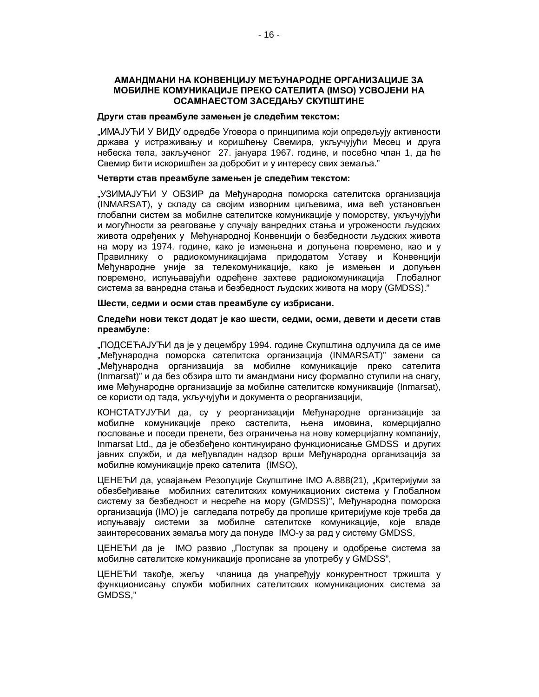# **ȺɆȺɇȾɆȺɇɂɇȺɄɈɇȼȿɇɐɂȳɍɆȿȭɍɇȺɊɈȾɇȿɈɊȽȺɇɂɁȺɐɂȳȿɁȺ МОБИЛНЕ КОМУНИКАЦИЈЕ ПРЕКО САТЕЛИТА (IMSO) УСВОЈЕНИ НА** ОСАМНАЕСТОМ ЗАСЕДАЊУ СКУПШТИНЕ

## Други став преамбуле замењен је следећим текстом:

"ИМАЈУЋИ У ВИДУ одредбе Уговора о принципима који опредељују активности држава у истраживању и коришћењу Свемира, укључујући Месец и друга небеска тела, закљученог 27. јануара 1967. године, и посебно члан 1, да ће Свемир бити искоришћен за добробит и у интересу свих земаља."

## Четврти став преамбуле замењен је следећим текстом:

"УЗИМАЈУЋИ У ОБЗИР да Међународна поморска сателитска организација (INMARSAT), у складу са својим изворним циљевима, има већ установљен глобални систем за мобилне сателитске комуникације у поморству, укључујући и могућности за реаговање у случају ванредних стања и угрожености људских живота одређених у Међународној Конвенцији о безбедности људских живота на мору из 1974. године, како је измењена и допуњена повремено, као и у Правилнику о радиокомуникацијама придодатом Уставу и Конвенцији Међународне уније за телекомуникације, како је измењен и допуњен повремено, испуњавајући одређене захтеве радиокомуникација Глобалног система за ванредна стања и безбедност људских живота на мору (GMDSS)."

#### Шести, седми и осми став преамбуле су избрисани.

# Следећи нови текст додат је као шести, седми, осми, девети и десети став преамбуле:

"ПОДСЕЋАЈУЋИ да је у децембру 1994. године Скупштина одлучила да се име "Међународна поморска сателитска организација (INMARSAT)" замени са "Међународна организација за мобилне комуникације преко сателита (Inmarsat)" и да без обзира што ти амандмани нису формално ступили на снагу, име Међународне организације за мобилне сателитске комуникације (Inmarsat), се користи од тада, укључујући и документа о реорганизацији,

КОНСТАТУЈУЋИ да, су у реорганизацији Међународне организације за мобилне комуникације преко састелита, њена имовина, комерцијално пословање и поседи пренети, без ограничења на нову комерцијалну компанију, Inmarsat Ltd., да је обезбеђено континуирано функционисање GMDSS и других јавних служби, и да међувладин надзор врши Међународна организација за мобилне комуникације преко сателита (IMSO),

ЦЕНЕЂИ да, усвајањем Резолуције Скупштине IMO A.888(21), "Критеријуми за обезбеђивање мобилних сателитских комуникационих система у Глобалном систему за безбедност и несреће на мору (GMDSS)", Међународна поморска организација (IMO) је сагледала потребу да пропише критеријуме које треба да испуњавају системи за мобилне сателитске комуникације, које владе заинтересованих земаља могу да понуде IMO-у за рад у систему GMDSS,

ЦЕНЕЋИ да је IMO развио "Поступак за процену и одобрење система за мобилне сателитске комуникације прописане за употребу у GMDSS",

ЦЕНЕЋИ такође, жељу чланица да унапређују конкурентност тржишта у функционисању служби мобилних сателитских комуникационих система за GMDSS,"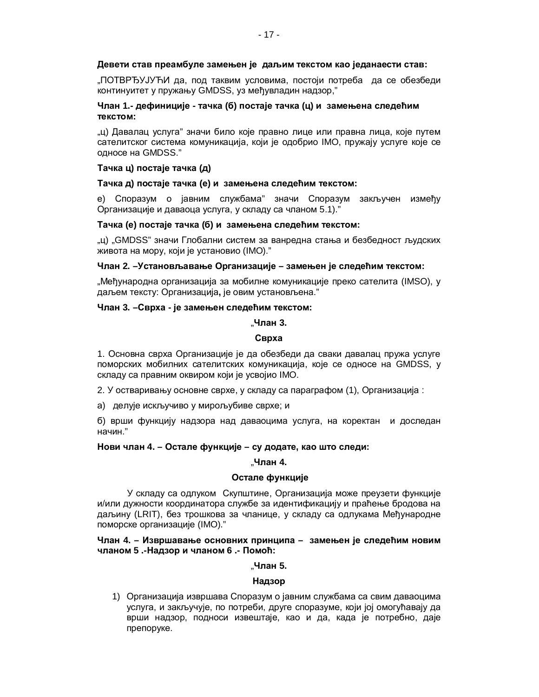# Девети став преамбуле замењен је даљим текстом као једанаести став:

"ПОТВРЂУЈУЋИ да, под таквим условима, постоји потреба да се обезбеди континуитет у пружању GMDSS, уз међувладин надзор,"

# **ɑɥɚɧ 1.- ɞɟɮɢɧɢɰɢʁɟ - ɬɚɱɤɚ (ɛ) ɩɨɫɬɚʁɟɬɚɱɤɚ (ɰ) ɢ ɡɚɦɟʃɟɧɚɫɥɟɞɟʄɢɦ Т**екстом:

"ц) Давалац услуга" значи било које правно лице или правна лица, које путем сателитског система комуникација, који је одобрио IMO, пружају услуге које се односе на GMDSS."

## Tачка ц) постаје тачка (д)

## **Ɍɚɱɤɚɞ) ɩɨɫɬɚʁɟɬɚɱɤɚ (ɟ) ɢ ɡɚɦɟʃɟɧɚɫɥɟɞɟʄɢɦɬɟɤɫɬɨɦ:**

е) Споразум о јавним службама" значи Споразум закључен између Организације и даваоца услуга, у складу са чланом 5.1)."

# **Ɍɚɱɤɚ (ɟ) ɩɨɫɬɚʁɟɬɚɱɤɚ (ɛ) ɢ ɡɚɦɟʃɟɧɚɫɥɟɞɟʄɢɦɬɟɤɫɬɨɦ:**

"ц) "GMDSS" значи Глобални систем за ванредна стања и безбедност људских живота на мору, који је установио (IMO)."

## Члан 2. –Установљавање Организације – замењен је следећим текстом:

"Међународна организација за мобилне комуникације преко сателита (IMSO), у даљем тексту: Организација, је овим установљена."

## **ɑɥɚɧ 3. –ɋɜɪɯɚ - ʁɟɡɚɦɟʃɟɧɫɥɟɞɟʄɢɦɬɟɤɫɬɨɦ:**

#### "**ɑɥɚɧ 3.**

#### **Сврха**

1. Основна сврха Организације је да обезбеди да сваки давалац пружа услуге поморских мобилних сателитских комуникација, које се односе на GMDSS, у складу са правним оквиром који је усвојио IMO.

2. У остваривању основне сврхе, у складу са параграфом (1), Организација :

а) делује искључиво у мирољубиве сврхе; и

б) врши функцију надзора над даваоцима услуга, на коректан и доследан начин."

# Нови члан 4. – Остале функције – су додате, као што следи:

#### "**ɑɥɚɧ 4.**

# Остале функције

У складу са одлуком Скупштине, Организација може преузети функције и/или дужности координатора службе за идентификацију и праћење бродова на даљину (LRIT), без трошкова за чланице, у складу са одлукама Међународне поморске организације (IMO)."

# Члан 4. – Извршавање основних принципа – замењен је следећим новим чланом 5 .-Надзор и чланом 6 .- Помоћ:

# "**ɑɥɚɧ 5.**

#### **Надзор**

1) Организација извршава Споразум о јавним службама са свим даваоцима үслуга, и закључује, по потреби, друге споразуме, који јој омогућавају да врши надзор, подноси извештаје, као и да, када је потребно, даје препоруке.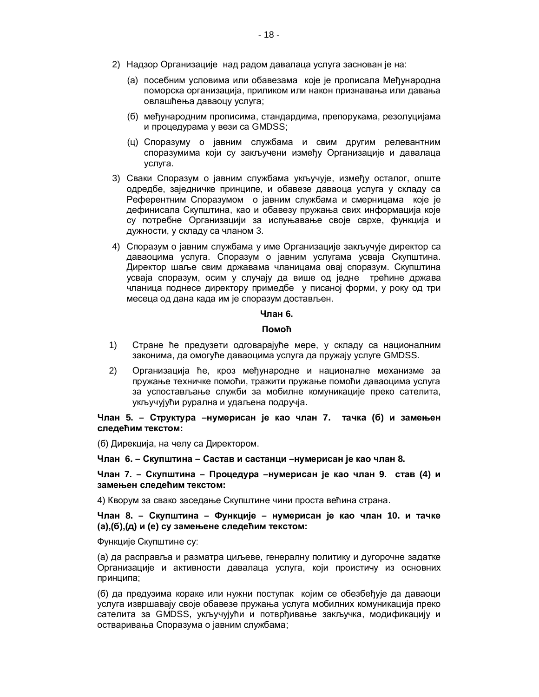- 2) Надзор Организације над радом давалаца услуга заснован је на:
	- (а) посебним условима или обавезама које је прописала Међународна поморска организација, приликом или након признавања или давања овлашћења даваоцу услуга;
	- (б) међународним прописима, стандардима, препорукама, резолуцијама и процедурама у вези са GMDSS;
	- (ц) Споразуму о јавним службама и свим другим релевантним споразумима који су закључени између Организације и давалаца услуга.
- 3) Сваки Споразум о јавним службама укључује, између осталог, опште одредбе, заједничке принципе, и обавезе даваоца услуга у складу са Референтним Споразумом о јавним службама и смерницама које је дефинисала Скупштина, као и обавезу пружања свих информација које су потребне Организацији за испуњавање своје сврхе, функција и дужности, у складу са чланом 3.
- 4) Споразум о јавним службама у име Организације закључује директор са даваоцима услуга. Споразум о јавним услугама усваја Скупштина. Директор шаље свим државама чланицама овај споразум. Скупштина усваја споразум, осим у случају да више од једне трећине држава чланица поднесе директору примедбе у писаној форми, у року од три месеца од дана када им је споразум достављен.

# **Члан 6.**

#### **Помоћ**

- 1) Стране ће предузети одговарајуће мере, у складу са националним законима, да омогуће даваоцима услуга да пружају услуге GMDSS.
- 2) Организација ће, кроз међународне и националне механизме за пружање техничке помоћи, тражити пружање помоћи даваоцима услуга за успостављање служби за мобилне комуникације преко сателита, укључујући рурална и удаљена подручја.

Члан 5. – Структура –нумерисан је као члан 7. тачка (б) и замењен следећим текстом:

(б) Дирекција, на челу са Директором.

**ɑɥɚɧ 6. – ɋɤɭɩɲɬɢɧɚ – ɋɚɫɬɚɜɢɫɚɫɬɚɧɰɢ –ɧɭɦɟɪɢɫɚɧʁɟɤɚɨɱɥɚɧ 8.**

Члан 7. – Скупштина – Процедура –нумерисан је као члан 9. став (4) и замењен следећим текстом:

4) Кворум за свако заседање Скупштине чини проста већина страна.

Члан 8. – Скупштина – Функције – нумерисан је као члан 10. и тачке **ɚ),(ɛ),(ɞ) ɢ (ɟ) ɫɭɡɚɦɟʃɟɧɟɫɥɟɞɟʄɢɦɬɟɤɫɬɨɦ:**

Функције Скупштине су:

(а) да расправља и разматра циљеве, генералну политику и дугорочне задатке Организације и активности давалаца услуга, који проистичу из основних принципа;

(б) да предузима кораке или нужни поступак којим се обезбеђује да даваоци услуга извршавају своје обавезе пружања услуга мобилних комуникација преко сателита за GMDSS, укључујући и потврђивање закључка, модификацију и остваривања Споразума о јавним службама;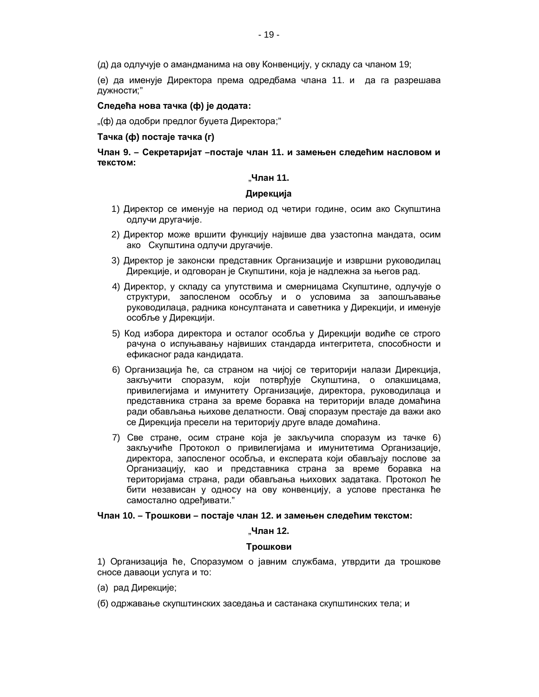(д) да одлучује о амандманима на ову Конвенцију, у складу са чланом 19;

(е) да именује Директора према одредбама члана 11. и да га разрешава дужности;"

# Следећа нова тачка (ф) је додата:

"(ф) да одобри предлог буџета Директора;"

## **Tачка (ф) постаје тачка (г)**

Члан 9. – Секретаријат –постаје члан 11. и замењен следећим насловом и **Т**екстом:

## "**ɑɥɚɧ 11.**

# Дирекција

- 1) Директор се именује на период од четири године, осим ако Скупштина одлучи другачије.
- 2) Директор може вршити функцију највише два узастопна мандата, осим ако Скупштина одлучи другачије.
- 3) Директор је законски представник Организације и извршни руководилац Дирекције, и одговоран је Скупштини, која је надлежна за његов рад.
- 4) Директор, у складу са упутствима и смерницама Скупштине, одлучује о структури, запосленом особљу и о условима за запошљавање руководилаца, радника консултаната и саветника у Дирекцији, и именује особље у Дирекцији.
- 5) Код избора директора и осталог особља у Дирекцији водиће се строго рачуна о испуњавању највиших стандарда интегритета, способности и ефикасног рада кандидата.
- 6) Организација ће, са страном на чијој се територији налази Дирекција, закључити споразум, који потврђује Скупштина, о олакшицама, привилегијама и имунитету Организације, директора, руководилаца и представника страна за време боравка на територији владе домаћина ради обављања њихове делатности. Овај споразум престаје да важи ако се Дирекција пресели на територију друге владе домаћина.
- 7) Све стране, осим стране која је закључила споразум из тачке 6) закључиће Протокол о привилегијама и имунитетима Организације, директора, запосленог особља, и експерата који обављају послове за Организацију, као и представника страна за време боравка на територијама страна, ради обављања њихових задатака. Протокол ће бити независан у односу на ову конвенцију, а услове престанка ће самостално одређивати."

# Члан 10. – Трошкови – постаје члан 12. и замењен следећим текстом:

#### "**ɑɥɚɧ 12.**

#### **Трошкови**

1) Организација ће, Споразумом о јавним службама, утврдити да трошкове сносе даваоци услуга и то:

- (а) рад Дирекције;
- (б) одржавање скупштинских заседања и састанака скупштинских тела; и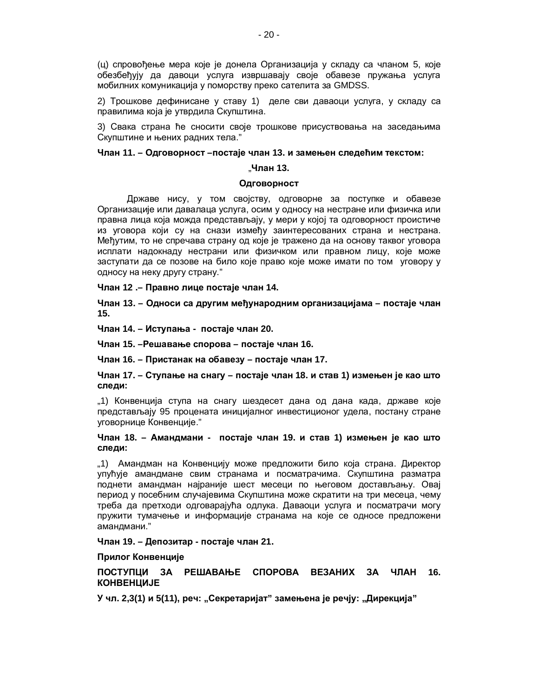(ц) спровођење мера које је донела Организација у складу са чланом 5, које обезбеђују да давоци услуга извршавају своје обавезе пружања услуга мобилних комуникација у поморству преко сателита за GMDSS.

2) Трошкове дефинисане у ставу 1) деле сви даваоци услуга, у складу са правилима која је утврдила Скупштина.

3) Свака страна ће сносити своје трошкове присуствовања на заседањима Скупштине и њених радних тела."

## Члан 11. – Одговорност –постаје члан 13. и замењен следећим текстом:

#### "**ɑɥɚɧ 13.**

## **Одговорност**

Државе нису, у том својству, одговорне за поступке и обавезе Организације или давалаца услуга, осим у односу на нестране или физичка или правна лица која можда представљају, у мери у којој та одговорност проистиче из уговора који су на снази између заинтересованих страна и нестрана. Међутим, то не спречава страну од које је тражено да на основу таквог уговора исплати надокнаду нестрани или физичком или правном лицу, које може заступати да се позове на било које право које може имати по том уговору у односу на неку другу страну."

Члан 12 .– Правно лице постаје члан 14.

Члан 13. – Односи са другим међународним организацијама – постаје члан **15.**

Члан 14. – Иступања - постаје члан 20.

**ɑɥɚɧ 15. –Ɋɟɲɚɜɚʃɟɫɩɨɪɨɜɚ – ɩɨɫɬɚʁɟɱɥɚɧ 16.**

**ɑɥɚɧ 16. – ɉɪɢɫɬɚɧɚɤɧɚɨɛɚɜɟɡɭ – ɩɨɫɬɚʁɟɱɥɚɧ 17.**

Члан 17. – Ступање на снагу – постаје члан 18. и став 1) измењен је као што следи:

"1) Конвенција ступа на снагу шездесет дана од дана када, државе које представљају 95 процената иницијалног инвестиционог удела, постану стране үговорнице Конвенције."

## Члан 18. – Амандмани - постаје члан 19. и став 1) измењен је као што следи:

"1) Амандман на Конвенцију може предложити било која страна. Директор упућује амандмане свим странама и посматрачима. Скупштина разматра поднети амандман најраније шест месеци по његовом достављању. Овај период у посебним случајевима Скупштина може скратити на три месеца, чему треба да претходи одговарајућа одлука. Даваоци услуга и посматрачи могу пружити тумачење и информације странама на које се односе предложени амандмани."

# **ɑɥɚɧ 19. – Ⱦɟɩɨɡɢɬɚɪ - ɩɨɫɬɚʁɟɱɥɚɧ 21.**

# Прилог Конвенције

ПОСТУПЦИ ЗА РЕШАВАЊЕ СПОРОВА ВЕЗАНИХ ЗА ЧЛАН 16. **KOHBEHUMJE** 

**У** чл. 2,3(1) и 5(11), реч: "Секретаријат" замењена је речју: "Дирекција"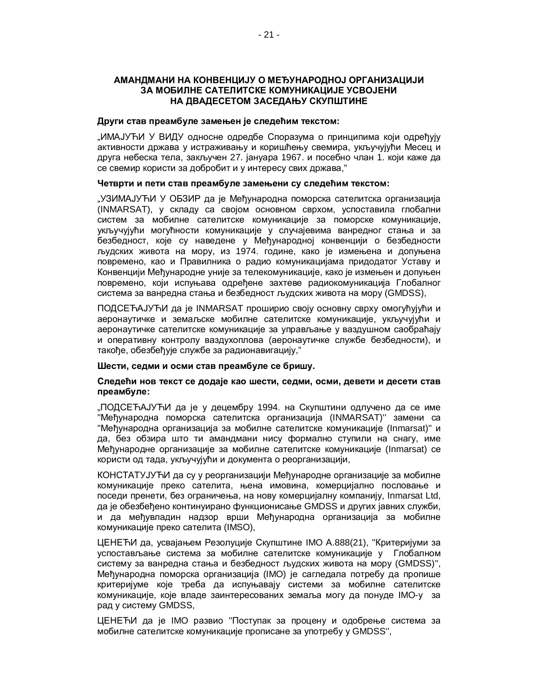# **ȺɆȺɇȾɆȺɇɂɇȺɄɈɇȼȿɇɐɂȳɍɈɆȿȭɍɇȺɊɈȾɇɈȳɈɊȽȺɇɂɁȺɐɂȳɂ ЗА МОБИЛНЕ САТЕЛИТСКЕ КОМУНИКАЦИЈЕ УСВОЈЕНИ** НА ДВАДЕСЕТОМ ЗАСЕДАЊУ СКУПШТИНЕ

## Други став преамбуле замењен је следећим текстом:

"ИМАЈУЋИ У ВИДУ односне одредбе Споразума о принципима који одрећују активности држава у истраживању и коришћењу свемира, укључујући Месец и друга небеска тела, закључен 27. јануара 1967. и посебно члан 1. који каже да се свемир користи за добробит и у интересу свих држава,"

## Четврти и пети став преамбуле замењени су следећим текстом:

"УЗИМАЈУЋИ У ОБЗИР да је Међународна поморска сателитска организација (INMARSAT), у складу са својом основном сврхом, успоставила глобални систем за мобилне сателитске комуникације за поморске комуникације, укључујући могућности комуникације у случајевима ванредног стања и за безбедност, које су наведене у Међународној конвенцији о безбедности људских живота на мору, из 1974. године, како је измењена и допуњена повремено, као и Правилника о радио комуникацијама придодатог Уставу и Конвенцији Међународне уније за телекомуникације, како је измењен и допуњен повремено, који испуњава одређене захтеве радиокомуникација Глобалног система за ванредна стања и безбедност људских живота на мору (GMDSS),

ПОДСЕЋАЈУЋИ да је INMARSAT проширио своју основну сврху омогућујући и аеронаутичке и земаљске мобилне сателитске комуникације, укључујући и аеронаутичке сателитске комуникације за управљање у ваздушном саобраћају и оперативну контролу ваздухоплова (аеронаутичке службе безбедности), и такође, обезбеђује службе за радионавигацију,"

# Шести, седми и осми став преамбуле се бришу.

# Следећи нов текст се додаје као шести, седми, осми, девети и десети став преамбуле:

"ПОДСЕЋАЈУЋИ да је у децембру 1994. на Скупштини одлучено да се име "Међународна поморска сателитска организација (INMARSAT)" замени са "Међународна организација за мобилне сателитске комуникације (Inmarsat)" и да, без обзира што ти амандмани нису формално ступили на снагу, име Међународне организације за мобилне сателитске комуникације (Inmarsat) се користи од тада, укључујући и документа о реорганизацији,

КОНСТАТУЈУЋИ да су у реорганизацији Међународне организације за мобилне комуникације преко сателита, њена имовина, комерцијално пословање и поседи пренети, без ограничења, на нову комерцијалну компанију, Inmarsat Ltd, да је обезбеђено континуирано функционисање GMDSS и других јавних служби, и да међувладин надзор врши Међународна организација за мобилне комуникације преко сателита (IMSO),

ЦЕНЕЋИ да, усвајањем Резолуције Скупштине IMO А.888(21), "Критеријуми за үспостављање система за мобилне сателитске комуникације у Глобалном систему за ванредна стања и безбедност људских живота на мору (GMDSS)", Међународна поморска организација (IMO) је сагледала потребу да пропише критеријуме које треба да испуњавају системи за мобилне сателитске комуникације, које владе заинтересованих земаља могу да понуде IMO-у за рад у систему GMDSS,

ЦЕНЕЋИ да је IMO развио "Поступак за процену и одобрење система за мобилне сателитске комуникације прописане за употребу у GMDSS",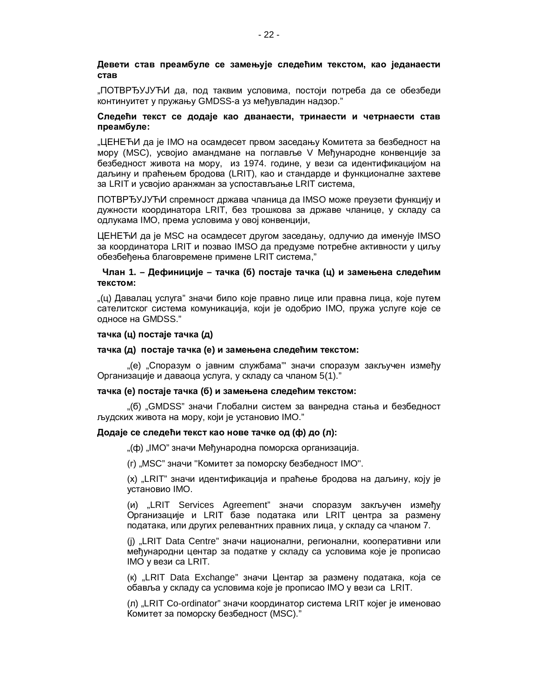# Девети став преамбуле се замењује следећим текстом, као једанаести **CTAB**

"ПОТВРЂУЈУЋИ да, под таквим условима, постоји потреба да се обезбеди континуитет у пружању GMDSS-а уз међувладин надзор."

## Следећи текст се додаје као дванаести, тринаести и четрнаести став преамбуле:

"ЦЕНЕЋИ да је IMO на осамдесет првом заседању Комитета за безбедност на мору (MSC), усвојио амандмане на поглавље V Међународне конвенције за безбедност живота на мору, из 1974. године, у вези са идентификацијом на даљину и праћењем бродова (LRIT), као и стандарде и функционалне захтеве за LRIT и усвојио аранжман за успостављање LRIT система,

ПОТВРЂУЈУЋИ спремност држава чланица да IMSO може преузети функцију и дужности координатора LRIT, без трошкова за државе чланице, у складу са одлукама IMO, према условима у овој конвенцији,

ЦЕНЕЋИ да је MSC на осамдесет другом заседању, одлучио да именује IMSO за координатора LRIT и позвао IMSO да предузме потребне активности у циљу обезбеђења благовремене примене LRIT система,"

# Члан 1. – Дефиниције – тачка (б) постаје тачка (ц) и замењена следећим TΘΚΩΤΟΜ:

"(ц) Давалац услуга" значи било које правно лице или правна лица, које путем сателитског система комуникација, који је одобрио IMO, пружа услуге које се односе на GMDSS."

# $\text{тачка } (\textbf{u})$  постаје тачка (д)

#### тачка (д) постаје тачка (е) и замењена следећим текстом:

"(e) "Споразум о јавним службама" значи споразум закључен измећу Организације и даваоца услуга, у складу са чланом 5(1)."

#### тачка (е) постаје тачка (б) и замењена следећим текстом:

"(б) "GMDSS" значи Глобални систем за ванредна стања и безбедност људских живота на мору, који је установио IMO."

# **Додаје се следећи текст као нове тачке од (ф) до (л):**

"(ф) "IMO" значи Међународна поморска организација.

(г) "MSC" значи "Комитет за поморску безбедност IMO".

(x) "LRIT" значи идентификација и праћење бродова на даљину, коју је установио IMO.

(и) "LRIT Services Agreement" значи споразум закључен између Организације и LRIT базе података или LRIT центра за размену података, или других релевантних правних лица, у складу са чланом 7.

(j) "LRIT Data Centre" значи национални, регионални, кооперативни или међународни центар за податке у складу са условима које је прописао IMO у вези са LRIT.

(k) "LRIT Data Exchange" значи Центар за размену података, која се обавља у складу са условима које је прописао IMO у вези са LRIT.

(л) "LRIT Co-ordinator" значи координатор система LRIT којег је именовао Комитет за поморску безбедност (MSC)."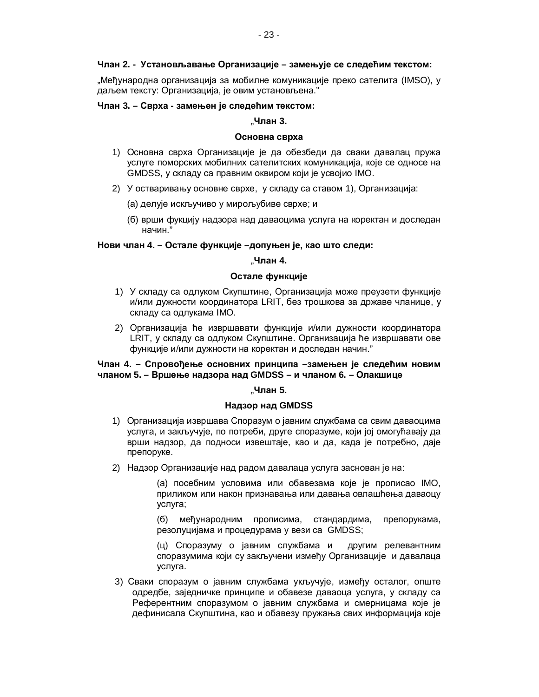## Члан 2. - Установљавање Организације – замењује се следећим текстом:

"Међународна организација за мобилне комуникације преко сателита (IMSO), у даљем тексту: Организација, је овим установљена."

## **ɑɥɚɧ 3. – ɋɜɪɯɚ - ɡɚɦɟʃɟɧʁɟɫɥɟɞɟʄɢɦɬɟɤɫɬɨɦ:**

## $.$ Члан 3.

## Основна сврха

- 1) Основна сврха Организације је да обезбеди да сваки давалац пружа үслуге поморских мобилних сателитских комуникација, које се односе на GMDSS, у складу са правним оквиром који је усвојио IMO.
- 2) У остваривању основне сврхе, у складу са ставом 1), Организација:
	- (а) делује искључиво у мирољубиве сврхе; и
	- (б) врши фукцију надзора над даваоцима услуга на коректан и доследан начин."

# Нови члан 4. – Остале функције –допуњен је, као што следи:

# "**ɑɥɚɧ 4.**

## Остале функције

- 1) У складу са одлуком Скупштине, Организација може преузети функције и/или дужности координатора LRIT, без трошкова за државе чланице, у складу са одлукама IMO.
- 2) Организација ће извршавати функције и/или дужности координатора LRIT, у складу са одлуком Скупштине. Организација ће извршавати ове функције и/или дужности на коректан и доследан начин."

# Члан 4. – Спровођење основних принципа -замењен је следећим новим ЧЛАНОМ 5. – Вршење надзора над GMDSS – и чланом 6. – Олакшице

#### "**ɑɥɚɧ 5.**

#### Надзор над GMDSS

- 1) Организација извршава Споразум о јавним службама са свим даваоцима услуга, и закључује, по потреби, друге споразуме, који јој омогућавају да врши надзор, да подноси извештаје, као и да, када је потребно, даје препоруке.
- 2) Надзор Организације над радом давалаца услуга заснован је на:

(а) посебним условима или обавезама које је прописао IMO, приликом или након признавања или давања овлашћења даваоцу услуга;

(б) међународним прописима, стандардима, препорукама, резолуцијама и процедурама у вези са GMDSS;

(ц) Споразуму о јавним службама и другим релевантним споразумима који су закључени између Организације и давалаца услуга.

3) Сваки споразум о јавним службама укључује, између осталог, опште одредбе, заједничке принципе и обавезе даваоца услуга, у складу са Референтним споразумом о јавним службама и смерницама које је дефинисала Скупштина, као и обавезу пружања свих информација које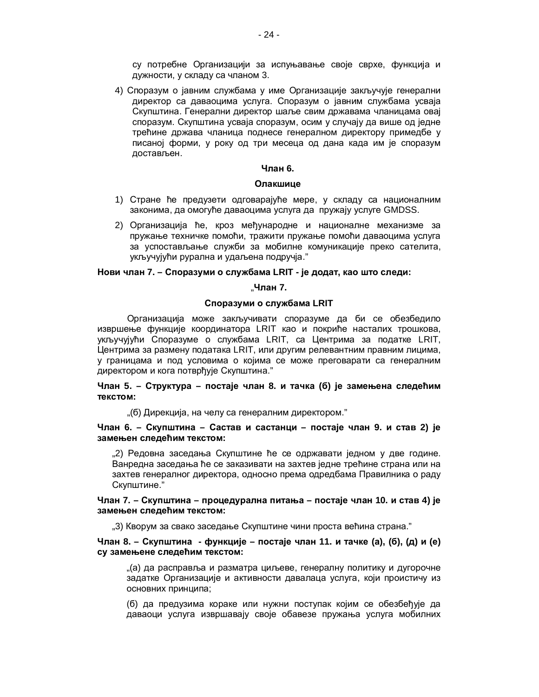су потребне Организацији за испуњавање своје сврхе, функција и дужности, у складу са чланом 3.

4) Споразум о јавним службама у име Организације закључује генерални директор са даваоцима услуга. Споразум о јавним службама усваја Скупштина. Генерални директор шаље свим државама чланицама овај споразум. Скупштина усваја споразум, осим у случају да више од једне трећине држава чланица поднесе генералном директору примедбе у писаној форми, у року од три месеца од дана када им је споразум достављен.

## **Члан 6.**

#### **Олакшице**

- 1) Стране ће предузети одговарајуће мере, у складу са националним законима, да омогуће даваоцима услуга да пружају услуге GMDSS.
- 2) Организација ће, кроз међународне и националне механизме за пружање техничке помоћи, тражити пружање помоћи даваоцима услуга за успостављање служби за мобилне комуникације преко сателита, укључујући рурална и удаљена подручја."

#### **Нови члан 7. – Споразуми о службама LRIT - је додат, као што следи:**

#### "**ɑɥɚɧ 7.**

#### Споразуми о службама LRIT

Организација може закључивати споразуме да би се обезбедило извршење функције координатора LRIT као и покриће насталих трошкова, укључујући Споразуме о службама LRIT, са Центрима за податке LRIT, Центрима за размену података LRIT, или другим релевантним правним лицима, у границама и под условима о којима се може преговарати са генералним директором и кога потврђује Скупштина."

## Члан 5. – Структура – постаје члан 8. и тачка (б) је замењена следећим **Т**екстом:

"(б) Дирекција, на челу са генералним директором."

## **ɑɥɚɧ 6. – ɋɤɭɩɲɬɢɧɚ – ɋɚɫɬɚɜ ɢ ɫɚɫɬɚɧɰɢ – ɩɨɫɬɚʁɟ ɱɥɚɧ 9. ɢ ɫɬɚɜ 2) ʁɟ** замењен следећим текстом:

"2) Редовна заседања Скупштине ће се одржавати једном у две године. Ванредна заседања ће се заказивати на захтев једне трећине страна или на захтев генералног директора, односно према одредбама Правилника о раду Скупштине."

# **ɑɥɚɧ 7. – ɋɤɭɩɲɬɢɧɚ – ɩɪɨɰɟɞɭɪɚɥɧɚɩɢɬɚʃɚ – ɩɨɫɬɚʁɟɱɥɚɧ 10. ɢɫɬɚɜ 4) ʁɟ** замењен следећим текстом:

"3) Кворум за свако заседање Скупштине чини проста већина страна."

## **Члан 8. – Скупштина - функције – постаје члан 11. и тачке (а), (б), (д) и (е)** су замењене следећим текстом:

"(а) да расправља и разматра циљеве, генералну политику и дугорочне задатке Организације и активности давалаца услуга, који проистичу из основних принципа;

(б) да предузима кораке или нужни поступак којим се обезбеђује да даваоци услуга извршавају своје обавезе пружања услуга мобилних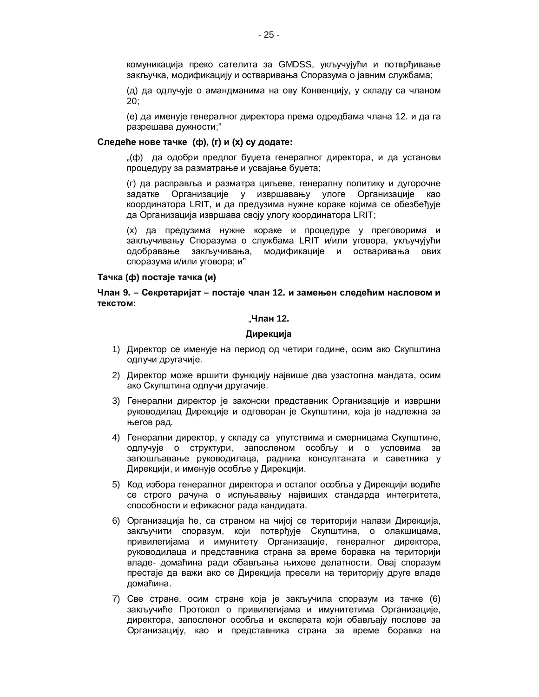комуникација преко сателита за GMDSS, укључујући и потврђивање закључка, модификацију и остваривања Споразума о јавним службама;

(д) да одлучује о амандманима на ову Конвенцију, у складу са чланом 20;

(е) да именује генералног директора према одредбама члана 12. и да га разрешава дужности;"

#### Следеће нове тачке (ф), (г) и (х) су додате:

"(ф) да одобри предлог буџета генералног директора, и да установи процедуру за разматрање и усвајање буџета;

(г) да расправља и разматра циљеве, генералну политику и дугорочне задатке Организације у извршавању улоге Организације као координатора LRIT, и да предузима нужне кораке којима се обезбећује да Организација извршава своју улогу координатора LRIT;

(x) да предузима нужне кораке и процедуре у преговорима и закључивању Споразума о службама LRIT и/или уговора, укључујући одобравање закључивања, модификације и остваривања ових споразума и/или уговора; и"

#### $Ta$ чка (ф) постаје тачка (и)

# Члан 9. – Секретаријат – постаје члан 12. и замењен следећим насловом и **Т**екстом:

#### $.$ Члан 12.

#### Дирекција

- 1) Директор се именује на период од четири године, осим ако Скупштина одлучи другачије.
- 2) Директор може вршити функцију највише два узастопна мандата, осим ако Скупштина одлучи другачије.
- 3) Генерални директор је законски представник Организације и извршни руководилац Дирекције и одговоран је Скупштини, која је надлежна за његов рад.
- 4) Генерални директор, у складу са упутствима и смерницама Скупштине, одлучује о структури, запосленом особљу и о условима за запошљавање руководилаца, радника консултаната и саветника у Дирекцији, и именује особље у Дирекцији.
- 5) Код избора генералног директора и осталог особља у Дирекцији водиће се строго рачуна о испуњавању највиших стандарда интегритета, способности и ефикасног рада кандидата.
- 6) Организација ће, са страном на чијој се територији налази Дирекција, закључити споразум, који потврђује Скупштина, о олакшицама, привилегијама и имунитету Организације, генералног директора, руководилаца и представника страна за време боравка на територији владе- домаћина ради обављања њихове делатности. Овај споразум престаје да важи ако се Дирекција пресели на територију друге владе домаћина.
- 7) Све стране, осим стране која је закључила споразум из тачке (6) закључиће Протокол о привилегијама и имунитетима Организације, директора, запосленог особља и експерата који обављају послове за Организацију, као и представника страна за време боравка на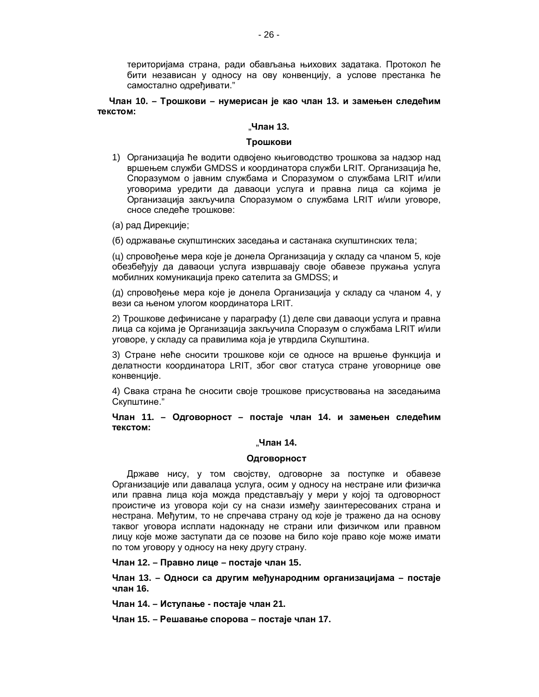територијама страна, ради обављања њихових задатака. Протокол ће бити независан у односу на ову конвенцију, а услове престанка ће самостално одређивати."

Члан 10. – Трошкови – нумерисан је као члан 13. и замењен следећим **Т**екстом:

## "**ɑɥɚɧ 13.**

#### **Трошкови**

- 1) Организација ће водити одвојено књиговодство трошкова за надзор над вршењем служби GMDSS и координатора служби LRIT. Организација ће, Споразумом о јавним службама и Споразумом о службама LRIT и/или уговорима уредити да даваоци услуга и правна лица са којима је Организација закључила Споразумом о службама LRIT и/или уговоре, сносе следеће трошкове:
- (а) рад Дирекције;

(б) одржавање скупштинских заседања и састанака скупштинских тела;

(ц) спровођење мера које је донела Организација у складу са чланом 5, које обезбеђују да даваоци услуга извршавају своје обавезе пружања услуга мобилних комуникација преко сателита за GMDSS; и

 $(A)$  спровођење мера које је донела Организација у складу са чланом 4, у вези са њеном улогом координатора LRIT.

2) Трошкове дефинисане у параграфу (1) деле сви даваоци услуга и правна лица са којима је Организација закључила Споразум о службама LRIT и/или уговоре, у складу са правилима која је утврдила Скупштина.

3) Стране неће сносити трошкове који се односе на вршење функција и делатности координатора LRIT, због свог статуса стране уговорнице ове конвенције.

4) Свака страна ће сносити своје трошкове присуствовања на заседањима Скупштине."

Члан 11. – Одговорност – постаје члан 14. и замењен следећим **Т**екстом:

#### "Члан 14.

#### **Одговорност**

Државе нису, у том својству, одговорне за поступке и обавезе Организације или давалаца услуга, осим у односу на нестране или физичка или правна лица која можда представљају у мери у којој та одговорност проистиче из уговора који су на снази између заинтересованих страна и нестрана. Међутим, то не спречава страну од које је тражено да на основу таквог уговора исплати надокнаду не страни или физичком или правном лицу које може заступати да се позове на било које право које може имати по том уговору у односу на неку другу страну.

**ɑɥɚɧ 12. – ɉɪɚɜɧɨɥɢɰɟ – ɩɨɫɬɚʁɟɱɥɚɧ 15.**

Члан 13. – Односи са другим међународним организацијама – постаје члан 16.

**ɑɥɚɧ 14. – ɂɫɬɭɩɚʃɟ - ɩɨɫɬɚʁɟɱɥɚɧ 21.**

**ɑɥɚɧ 15. – Ɋɟɲɚɜɚʃɟɫɩɨɪɨɜɚ – ɩɨɫɬɚʁɟɱɥɚɧ 17.**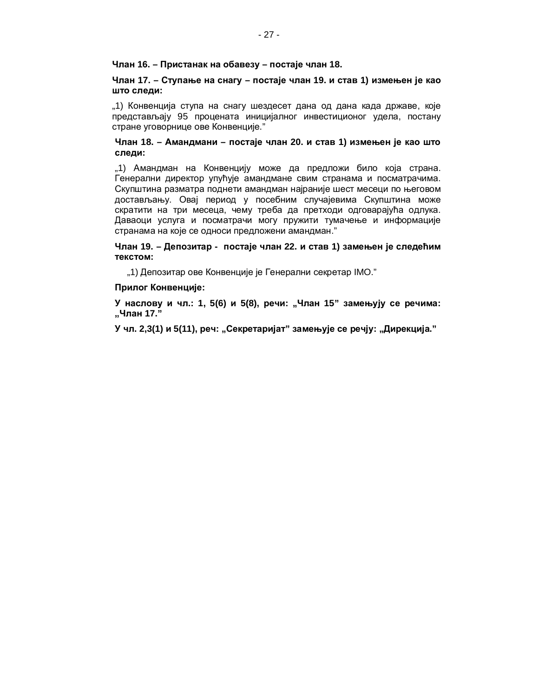## **ɑɥɚɧ 16. – ɉɪɢɫɬɚɧɚɤɧɚɨɛɚɜɟɡɭ – ɩɨɫɬɚʁɟɱɥɚɧ 18.**

# Члан 17. – Ступање на снагу – постаје члан 19. и став 1) измењен је као што следи:

"1) Конвенција ступа на снагу шездесет дана од дана када државе, које представљају 95 процената иницијалног инвестиционог удела, постану стране уговорнице ове Конвенције."

## Члан 18. – Амандмани – постаје члан 20. и став 1) измењен је као што следи:

"1) Амандман на Конвенцију може да предложи било која страна. Генерални директор упућује амандмане свим странама и посматрачима. Скупштина разматра поднети амандман најраније шест месеци по његовом достављању. Овај период у посебним случајевима Скупштина може скратити на три месеца, чему треба да претходи одговарајућа одлука. Даваоци услуга и посматрачи могу пружити тумачење и информације странама на које се односи предложени амандман."

# Члан 19. – Депозитар - постаје члан 22. и став 1) замењен је следећим **Т**екстом:

"1) Депозитар ове Конвенције је Генерални секретар IMO."

## Прилог Конвенције:

У наслову и чл.: 1, 5(6) и 5(8), речи: "Члан 15" замењују се речима: **Äɑɥɚɧ 17."**

У чл. 2,3(1) и 5(11), реч: "Секретаријат" замењује се речју: "Дирекција."